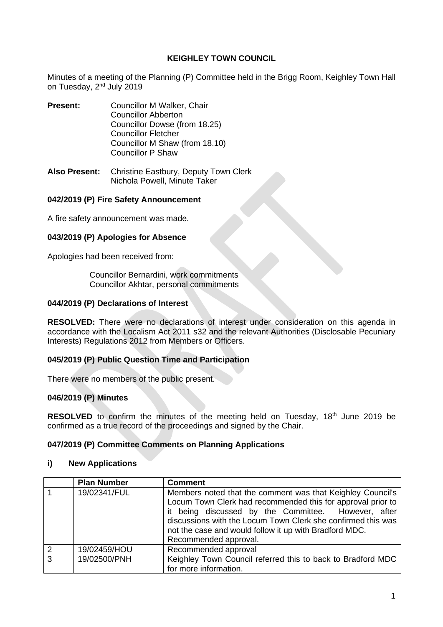## **KEIGHLEY TOWN COUNCIL**

Minutes of a meeting of the Planning (P) Committee held in the Brigg Room, Keighley Town Hall on Tuesday, 2<sup>nd</sup> July 2019

- **Present:** Councillor M Walker, Chair Councillor Abberton Councillor Dowse (from 18.25) Councillor Fletcher Councillor M Shaw (from 18.10) Councillor P Shaw
- **Also Present:** Christine Eastbury, Deputy Town Clerk Nichola Powell, Minute Taker

### **042/2019 (P) Fire Safety Announcement**

A fire safety announcement was made.

### **043/2019 (P) Apologies for Absence**

Apologies had been received from:

Councillor Bernardini, work commitments Councillor Akhtar, personal commitments

### **044/2019 (P) Declarations of Interest**

**RESOLVED:** There were no declarations of interest under consideration on this agenda in accordance with the Localism Act 2011 s32 and the relevant Authorities (Disclosable Pecuniary Interests) Regulations 2012 from Members or Officers.

## **045/2019 (P) Public Question Time and Participation**

There were no members of the public present.

### **046/2019 (P) Minutes**

**RESOLVED** to confirm the minutes of the meeting held on Tuesday, 18<sup>th</sup> June 2019 be confirmed as a true record of the proceedings and signed by the Chair.

### **047/2019 (P) Committee Comments on Planning Applications**

### **i) New Applications**

|              | <b>Plan Number</b> | <b>Comment</b>                                                                                                                                                                                                                                                                                                                      |
|--------------|--------------------|-------------------------------------------------------------------------------------------------------------------------------------------------------------------------------------------------------------------------------------------------------------------------------------------------------------------------------------|
|              | 19/02341/FUL       | Members noted that the comment was that Keighley Council's<br>Locum Town Clerk had recommended this for approval prior to<br>it being discussed by the Committee. However, after<br>discussions with the Locum Town Clerk she confirmed this was<br>not the case and would follow it up with Bradford MDC.<br>Recommended approval. |
|              | 19/02459/HOU       | Recommended approval                                                                                                                                                                                                                                                                                                                |
| $\mathbf{3}$ | 19/02500/PNH       | Keighley Town Council referred this to back to Bradford MDC<br>for more information.                                                                                                                                                                                                                                                |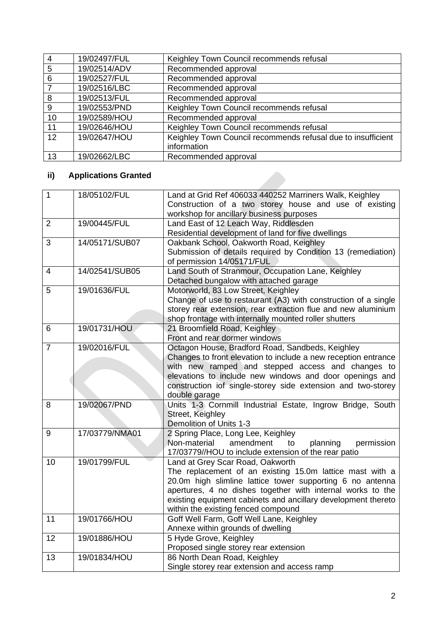| $\overline{4}$    | 19/02497/FUL | Keighley Town Council recommends refusal                     |
|-------------------|--------------|--------------------------------------------------------------|
| 5                 | 19/02514/ADV | Recommended approval                                         |
| 6                 | 19/02527/FUL | Recommended approval                                         |
|                   | 19/02516/LBC | Recommended approval                                         |
| 8                 | 19/02513/FUL | Recommended approval                                         |
| 9                 | 19/02553/PND | Keighley Town Council recommends refusal                     |
| 10                | 19/02589/HOU | Recommended approval                                         |
| 11                | 19/02646/HOU | Keighley Town Council recommends refusal                     |
| $12 \overline{ }$ | 19/02647/HOU | Keighley Town Council recommends refusal due to insufficient |
|                   |              | information                                                  |
| 13                | 19/02662/LBC | Recommended approval                                         |

# **ii) Applications Granted**

| $\mathbf{1}$   | 18/05102/FUL   | Land at Grid Ref 406033 440252 Marriners Walk, Keighley        |
|----------------|----------------|----------------------------------------------------------------|
|                |                | Construction of a two storey house and use of existing         |
|                |                | workshop for ancillary business purposes                       |
| $\overline{2}$ | 19/00445/FUL   | Land East of 12 Leach Way, Riddlesden                          |
|                |                | Residential development of land for five dwellings             |
| 3              | 14/05171/SUB07 | Oakbank School, Oakworth Road, Keighley                        |
|                |                | Submission of details required by Condition 13 (remediation)   |
|                |                | of permission 14/05171/FUL                                     |
| 4              | 14/02541/SUB05 | Land South of Stranmour, Occupation Lane, Keighley             |
|                |                | Detached bungalow with attached garage                         |
| 5              | 19/01636/FUL   | Motorworld, 83 Low Street, Keighley                            |
|                |                | Change of use to restaurant (A3) with construction of a single |
|                |                | storey rear extension, rear extraction flue and new aluminium  |
|                |                | shop frontage with internally mounted roller shutters          |
| 6              | 19/01731/HOU   | 21 Broomfield Road, Keighley                                   |
|                |                | Front and rear dormer windows                                  |
| $\overline{7}$ | 19/02016/FUL   | Octagon House, Bradford Road, Sandbeds, Keighley               |
|                |                | Changes to front elevation to include a new reception entrance |
|                |                | with new ramped and stepped access and changes to              |
|                |                | elevations to include new windows and door openings and        |
|                |                | construction iof single-storey side extension and two-storey   |
|                |                | double garage                                                  |
| 8              | 19/02067/PND   | Units 1-3 Cornmill Industrial Estate, Ingrow Bridge, South     |
|                |                | Street, Keighley                                               |
|                |                | Demolition of Units 1-3                                        |
| 9              | 17/03779/NMA01 | 2 Spring Place, Long Lee, Keighley                             |
|                |                | Non-material<br>amendment<br>planning<br>permission<br>to      |
|                |                | 17/03779//HOU to include extension of the rear patio           |
| 10             | 19/01799/FUL   | Land at Grey Scar Road, Oakworth                               |
|                |                | The replacement of an existing 15.0m lattice mast with a       |
|                |                | 20.0m high slimline lattice tower supporting 6 no antenna      |
|                |                | apertures, 4 no dishes together with internal works to the     |
|                |                | existing equipment cabinets and ancillary development thereto  |
|                |                | within the existing fenced compound                            |
| 11             | 19/01766/HOU   | Goff Well Farm, Goff Well Lane, Keighley                       |
|                |                | Annexe within grounds of dwelling                              |
| 12             | 19/01886/HOU   | 5 Hyde Grove, Keighley                                         |
|                |                | Proposed single storey rear extension                          |
| 13             | 19/01834/HOU   | 86 North Dean Road, Keighley                                   |
|                |                | Single storey rear extension and access ramp                   |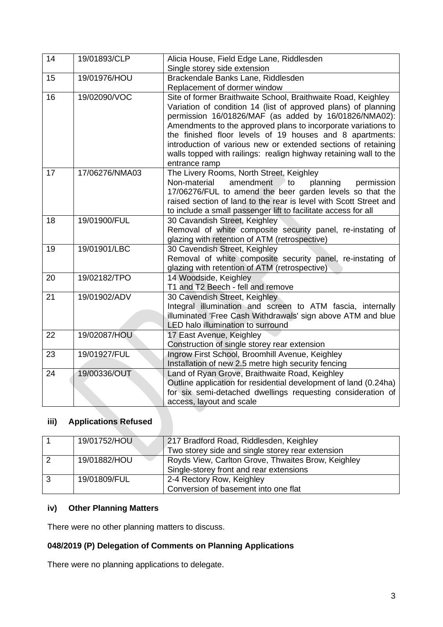| 14 | 19/01893/CLP   | Alicia House, Field Edge Lane, Riddlesden                                                                                                                                                                                                                                                                                                                                                                                                                                    |
|----|----------------|------------------------------------------------------------------------------------------------------------------------------------------------------------------------------------------------------------------------------------------------------------------------------------------------------------------------------------------------------------------------------------------------------------------------------------------------------------------------------|
|    |                | Single storey side extension                                                                                                                                                                                                                                                                                                                                                                                                                                                 |
| 15 | 19/01976/HOU   | Brackendale Banks Lane, Riddlesden                                                                                                                                                                                                                                                                                                                                                                                                                                           |
|    |                | Replacement of dormer window                                                                                                                                                                                                                                                                                                                                                                                                                                                 |
| 16 | 19/02090/VOC   | Site of former Braithwaite School, Braithwaite Road, Keighley<br>Variation of condition 14 (list of approved plans) of planning<br>permission 16/01826/MAF (as added by 16/01826/NMA02):<br>Amendments to the approved plans to incorporate variations to<br>the finished floor levels of 19 houses and 8 apartments:<br>introduction of various new or extended sections of retaining<br>walls topped with railings: realign highway retaining wall to the<br>entrance ramp |
| 17 | 17/06276/NMA03 | The Livery Rooms, North Street, Keighley<br>Non-material<br>amendment<br>planning<br>to<br>permission<br>17/06276/FUL to amend the beer garden levels so that the<br>raised section of land to the rear is level with Scott Street and<br>to include a small passenger lift to facilitate access for all                                                                                                                                                                     |
| 18 | 19/01900/FUL   | 30 Cavandish Street, Keighley                                                                                                                                                                                                                                                                                                                                                                                                                                                |
|    |                | Removal of white composite security panel, re-instating of                                                                                                                                                                                                                                                                                                                                                                                                                   |
|    |                | glazing with retention of ATM (retrospective)                                                                                                                                                                                                                                                                                                                                                                                                                                |
| 19 | 19/01901/LBC   | 30 Cavendish Street, Keighley                                                                                                                                                                                                                                                                                                                                                                                                                                                |
|    |                | Removal of white composite security panel, re-instating of                                                                                                                                                                                                                                                                                                                                                                                                                   |
|    |                | glazing with retention of ATM (retrospective)                                                                                                                                                                                                                                                                                                                                                                                                                                |
| 20 | 19/02182/TPO   | 14 Woodside, Keighley                                                                                                                                                                                                                                                                                                                                                                                                                                                        |
|    |                | T1 and T2 Beech - fell and remove                                                                                                                                                                                                                                                                                                                                                                                                                                            |
| 21 | 19/01902/ADV   | 30 Cavendish Street, Keighley<br>Integral illumination and screen to ATM fascia, internally<br>illuminated 'Free Cash Withdrawals' sign above ATM and blue<br><b>LED</b> halo illumination to surround                                                                                                                                                                                                                                                                       |
| 22 | 19/02087/HOU   | 17 East Avenue, Keighley                                                                                                                                                                                                                                                                                                                                                                                                                                                     |
|    |                | Construction of single storey rear extension                                                                                                                                                                                                                                                                                                                                                                                                                                 |
| 23 | 19/01927/FUL   | Ingrow First School, Broomhill Avenue, Keighley                                                                                                                                                                                                                                                                                                                                                                                                                              |
|    |                | Installation of new 2.5 metre high security fencing                                                                                                                                                                                                                                                                                                                                                                                                                          |
| 24 | 19/00336/OUT   | Land of Ryan Grove, Braithwaite Road, Keighley                                                                                                                                                                                                                                                                                                                                                                                                                               |
|    |                | Outline application for residential development of land (0.24ha)                                                                                                                                                                                                                                                                                                                                                                                                             |
|    |                | for six semi-detached dwellings requesting consideration of                                                                                                                                                                                                                                                                                                                                                                                                                  |
|    |                | access, layout and scale                                                                                                                                                                                                                                                                                                                                                                                                                                                     |

## **iii) Applications Refused**

|                | 19/01752/HOU | 217 Bradford Road, Riddlesden, Keighley<br>Two storey side and single storey rear extension   |
|----------------|--------------|-----------------------------------------------------------------------------------------------|
| $\overline{2}$ | 19/01882/HOU | Royds View, Carlton Grove, Thwaites Brow, Keighley<br>Single-storey front and rear extensions |
| $\overline{3}$ | 19/01809/FUL | 2-4 Rectory Row, Keighley<br>Conversion of basement into one flat                             |

## **iv) Other Planning Matters**

There were no other planning matters to discuss.

## **048/2019 (P) Delegation of Comments on Planning Applications**

There were no planning applications to delegate.